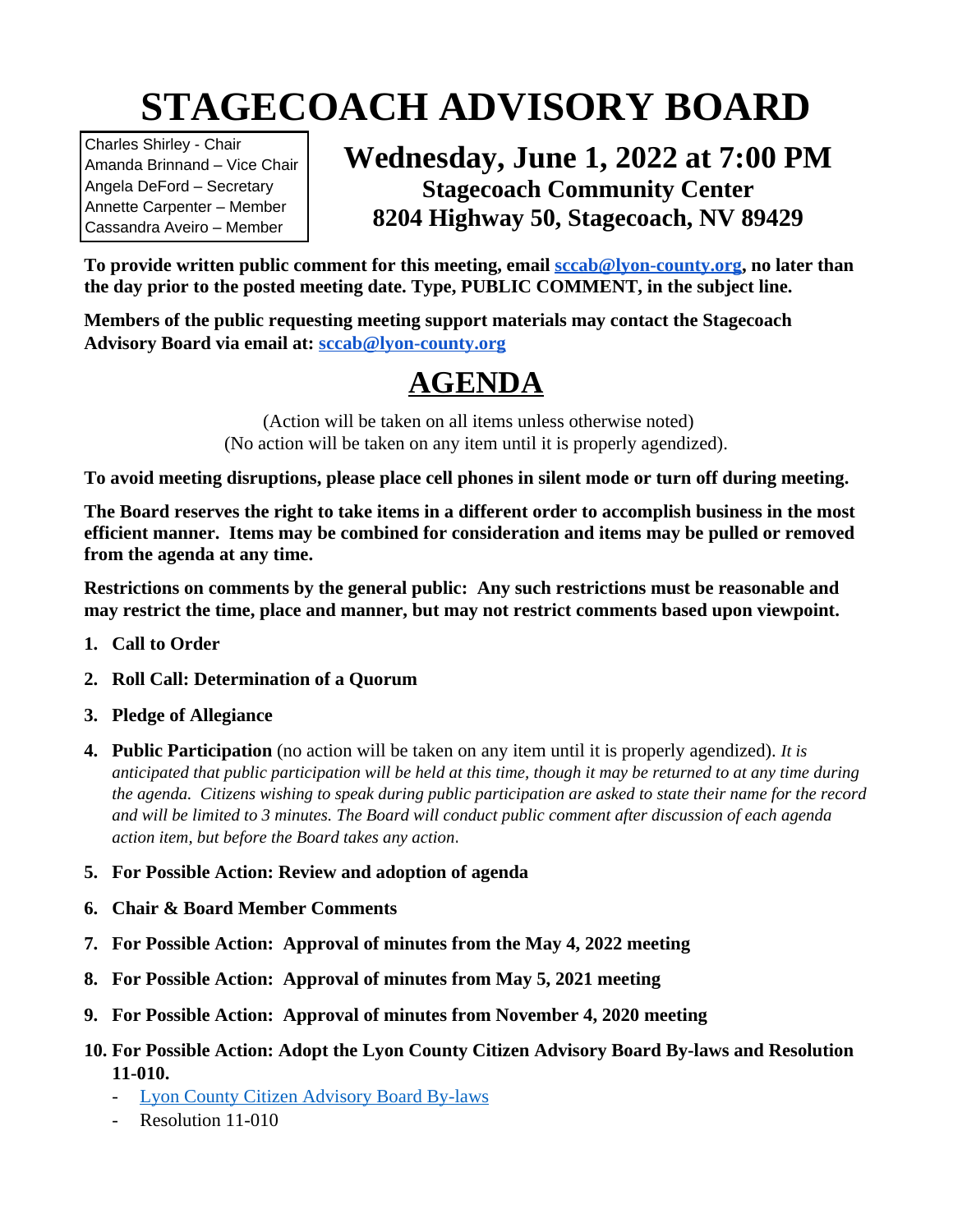# **STAGECOACH ADVISORY BOARD**

Charles Shirley - Chair Amanda Brinnand – Vice Chair Angela DeFord – Secretary Annette Carpenter – Member Cassandra Aveiro – Member

### **Wednesday, June 1, 2022 at 7:00 PM Stagecoach Community Center 8204 Highway 50, Stagecoach, NV 89429**

**To provide written public comment for this meeting, email [sccab@lyon-county.org,](mailto:sccab@lyon-county.org) no later than the day prior to the posted meeting date. Type, PUBLIC COMMENT, in the subject line.**

**Members of the public requesting meeting support materials may contact the Stagecoach Advisory Board via email at: [sccab@lyon-county.org](mailto:sccab@lyon-county.org)**

## **AGENDA**

(Action will be taken on all items unless otherwise noted) (No action will be taken on any item until it is properly agendized).

**To avoid meeting disruptions, please place cell phones in silent mode or turn off during meeting.**

**The Board reserves the right to take items in a different order to accomplish business in the most efficient manner. Items may be combined for consideration and items may be pulled or removed from the agenda at any time.** 

**Restrictions on comments by the general public: Any such restrictions must be reasonable and may restrict the time, place and manner, but may not restrict comments based upon viewpoint.**

- **1. Call to Order**
- **2. Roll Call: Determination of a Quorum**
- **3. Pledge of Allegiance**
- **4. Public Participation** (no action will be taken on any item until it is properly agendized). *It is anticipated that public participation will be held at this time, though it may be returned to at any time during the agenda. Citizens wishing to speak during public participation are asked to state their name for the record and will be limited to 3 minutes. The Board will conduct public comment after discussion of each agenda action item, but before the Board takes any action.*
- **5. For Possible Action: Review and adoption of agenda**
- **6. Chair & Board Member Comments**
- **7. For Possible Action: Approval of minutes from the May 4, 2022 meeting**
- **8. For Possible Action: Approval of minutes from May 5, 2021 meeting**
- **9. For Possible Action: Approval of minutes from November 4, 2020 meeting**
- **10. For Possible Action: Adopt the Lyon County Citizen Advisory Board By-laws and Resolution 11-010.**
	- [Lyon County Citizen Advisory Board By-laws](https://lyon-county.org/DocumentCenter/View/9012/CAB-BYLAWS-032119)
	- Resolution 11-010